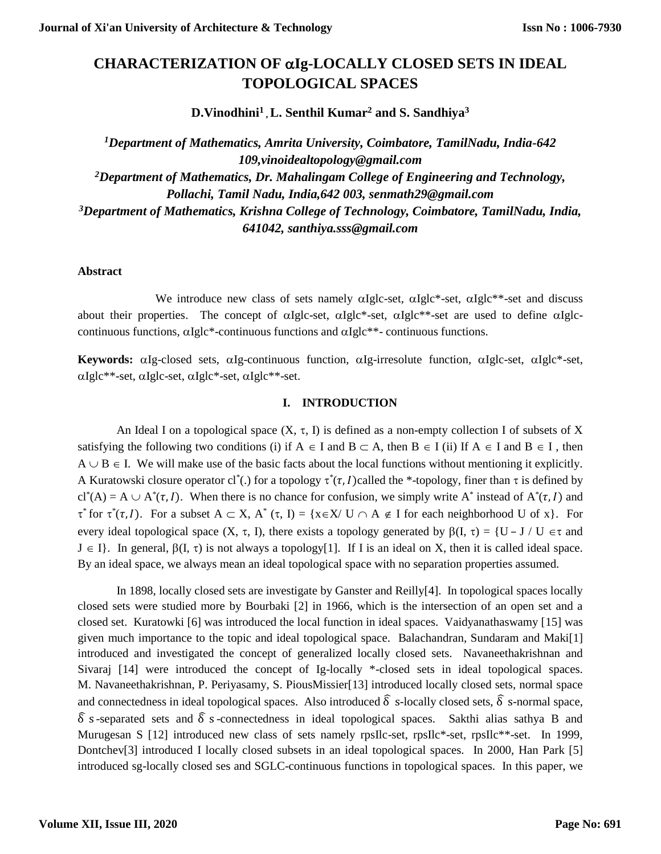# **CHARACTERIZATION OF Ig-LOCALLY CLOSED SETS IN IDEAL TOPOLOGICAL SPACES**

**D.Vinodhini<sup>1</sup> , L. Senthil Kumar<sup>2</sup> and S. Sandhiya<sup>3</sup>**

*<sup>1</sup>Department of Mathematics, Amrita University, Coimbatore, TamilNadu, India-642 109,vinoidealtopology@gmail.com <sup>2</sup>Department of Mathematics, Dr. Mahalingam College of Engineering and Technology, Pollachi, Tamil Nadu, India,642 003, senmath29@gmail.com <sup>3</sup>Department of Mathematics, Krishna College of Technology, Coimbatore, TamilNadu, India, 641042, santhiya.sss@gmail.com*

### **Abstract**

We introduce new class of sets namely  $\alpha$ Iglc-set,  $\alpha$ Iglc\*-set,  $\alpha$ Iglc\*\*-set and discuss about their properties. The concept of  $\alpha Iglc-set$ ,  $\alpha Iglc*-set$ ,  $\alpha Iglc*-set$  are used to define  $\alpha Iglc$ continuous functions,  $\alpha$ Iglc\*-continuous functions and  $\alpha$ Iglc\*\*- continuous functions.

Keywords: aIg-closed sets, aIg-continuous function, aIg-irresolute function, aIglc-set, aIglc\*-set,  $\alpha$ Iglc\*\*-set,  $\alpha$ Iglc-set,  $\alpha$ Iglc\*-set,  $\alpha$ Iglc\*\*-set.

## **I. INTRODUCTION**

An Ideal I on a topological space  $(X, \tau, I)$  is defined as a non-empty collection I of subsets of X satisfying the following two conditions (i) if  $A \in I$  and  $B \subset A$ , then  $B \in I$  (ii) If  $A \in I$  and  $B \in I$ , then  $A \cup B \in I$ . We will make use of the basic facts about the local functions without mentioning it explicitly. A Kuratowski closure operator cl<sup>\*</sup>(.) for a topology  $\tau^*(\tau, I)$  called the \*-topology, finer than  $\tau$  is defined by  $cl^*(A) = A \cup A^*(\tau, I)$ . When there is no chance for confusion, we simply write A<sup>\*</sup> instead of  $A^*(\tau, I)$  and  $\tau^*$  for  $\tau^*(\tau, I)$ . For a subset  $A \subset X$ ,  $A^*(\tau, I) = \{x \in X / U \cap A \notin I \text{ for each neighborhood } U \text{ of } x\}$ . For every ideal topological space  $(X, \tau, I)$ , there exists a topology generated by  $\beta(I, \tau) = \{U - J / U \in \tau \text{ and } I\}$  $J \in I$ . In general,  $\beta(I, \tau)$  is not always a topology[1]. If I is an ideal on X, then it is called ideal space. By an ideal space, we always mean an ideal topological space with no separation properties assumed.

In 1898, locally closed sets are investigate by Ganster and Reilly[4]. In topological spaces locally closed sets were studied more by Bourbaki [2] in 1966, which is the intersection of an open set and a closed set. Kuratowki [6] was introduced the local function in ideal spaces. Vaidyanathaswamy [15] was given much importance to the topic and ideal topological space. Balachandran, Sundaram and Maki[1] introduced and investigated the concept of generalized locally closed sets. Navaneethakrishnan and Sivaraj [14] were introduced the concept of Ig-locally \*-closed sets in ideal topological spaces. M. Navaneethakrishnan, P. Periyasamy, S. PiousMissier[13] introduced locally closed sets, normal space and connectedness in ideal topological spaces. Also introduced  $\delta$  s-locally closed sets,  $\delta$  s-normal space,  $\hat{\delta}$  s-separated sets and  $\hat{\delta}$  s-connectedness in ideal topological spaces. Sakthi alias sathya B and Murugesan S [12] introduced new class of sets namely rpsIlc-set, rpsIlc\*-set, rpsIlc\*\*-set. In 1999, Dontchev[3] introduced I locally closed subsets in an ideal topological spaces. In 2000, Han Park [5] introduced sg-locally closed ses and SGLC-continuous functions in topological spaces. In this paper, we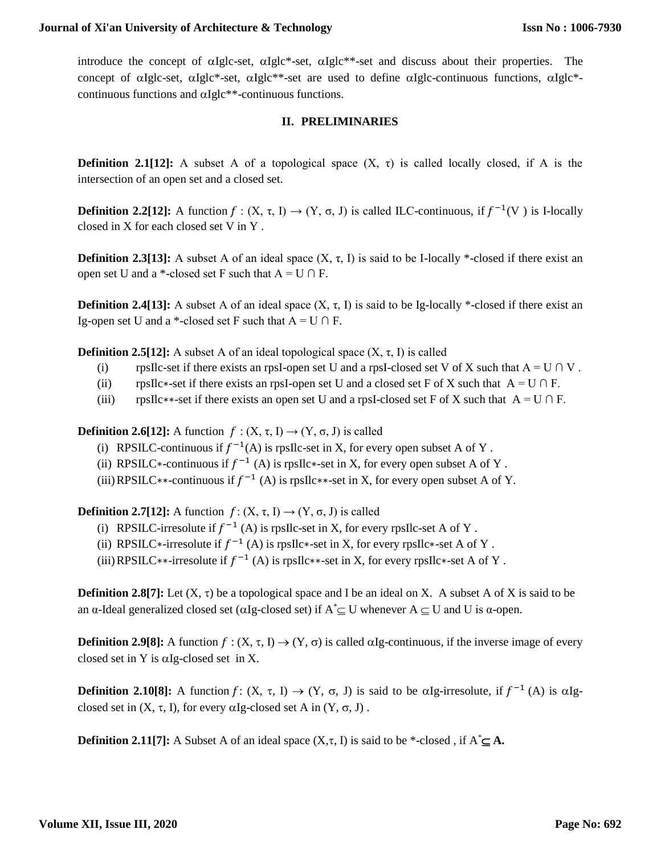introduce the concept of  $\alpha$ Iglc-set,  $\alpha$ Iglc\*-set,  $\alpha$ Iglc<sup>\*\*</sup>-set and discuss about their properties. The concept of  $\alpha$ Iglc-set,  $\alpha$ Iglc\*-set,  $\alpha$ Iglc\*\*-set are used to define  $\alpha$ Iglc-continuous functions,  $\alpha$ Iglc\*continuous functions and  $\alpha$ Iglc\*\*-continuous functions.

# **II. PRELIMINARIES**

**Definition 2.1[12]:** A subset A of a topological space  $(X, \tau)$  is called locally closed, if A is the intersection of an open set and a closed set.

**Definition 2.2[12]:** A function  $f : (X, \tau, I) \to (Y, \sigma, J)$  is called ILC-continuous, if  $f^{-1}(V)$  is I-locally closed in X for each closed set V in Y .

**Definition 2.3[13]:** A subset A of an ideal space  $(X, \tau, I)$  is said to be I-locally \*-closed if there exist an open set U and a \*-closed set F such that  $A = U \cap F$ .

**Definition 2.4[13]:** A subset A of an ideal space  $(X, \tau, I)$  is said to be Ig-locally \*-closed if there exist an Ig-open set U and a \*-closed set F such that  $A = U \cap F$ .

**Definition 2.5[12]:** A subset A of an ideal topological space  $(X, \tau, I)$  is called

- (i) rpsIlc-set if there exists an rpsI-open set U and a rpsI-closed set V of X such that  $A = U \cap V$ .
- (ii) rpsIlc∗-set if there exists an rpsI-open set U and a closed set F of X such that  $A = U \cap F$ .
- (iii) rpsIlc∗∗-set if there exists an open set U and a rpsI-closed set F of X such that  $A = U \cap F$ .

**Definition 2.6[12]:** A function  $f : (X, \tau, I) \rightarrow (Y, \sigma, J)$  is called

- (i) RPSILC-continuous if  $f^{-1}(A)$  is rpsIlc-set in X, for every open subset A of Y.
- (ii) RPSILC\*-continuous if  $f^{-1}(A)$  is rpsIlc\*-set in X, for every open subset A of Y.
- (iii) RPSILC<sup>\*\*</sup>-continuous if  $f^{-1}(A)$  is rpsIlc\*\*-set in X, for every open subset A of Y.

**Definition 2.7[12]:** A function  $f: (X, \tau, I) \rightarrow (Y, \sigma, J)$  is called

- (i) RPSILC-irresolute if  $f^{-1}(A)$  is rpsIlc-set in X, for every rpsIlc-set A of Y.
- (ii) RPSILC\*-irresolute if  $f^{-1}(A)$  is rpsIlc\*-set in X, for every rpsIlc\*-set A of Y.
- (iii) RPSILC∗∗-irresolute if  $f^{-1}(A)$  is rpsIlc∗∗-set in X, for every rpsIlc∗-set A of Y.

**Definition 2.8[7]:** Let  $(X, \tau)$  be a topological space and I be an ideal on X. A subset A of X is said to be an α-Ideal generalized closed set ( $\alpha$ Ig-closed set) if  $A^* \subseteq U$  whenever  $A \subseteq U$  and U is α-open.

**Definition 2.9[8]:** A function  $f : (X, \tau, I) \to (Y, \sigma)$  is called  $\alpha Ig$ -continuous, if the inverse image of every closed set in Y is  $\alpha$ Ig-closed set in X.

**Definition 2.10[8]:** A function  $f: (X, \tau, I) \to (Y, \sigma, J)$  is said to be  $\alpha Ig\text{-}irresolute$ , if  $f^{-1}(A)$  is  $\alpha Ig\text{-}i$ closed set in  $(X, \tau, I)$ , for every  $\alpha Ig$ -closed set A in  $(Y, \sigma, J)$ .

**Definition 2.11[7]:** A Subset A of an ideal space  $(X, \tau, I)$  is said to be \*-closed, if  $A^* \subseteq A$ .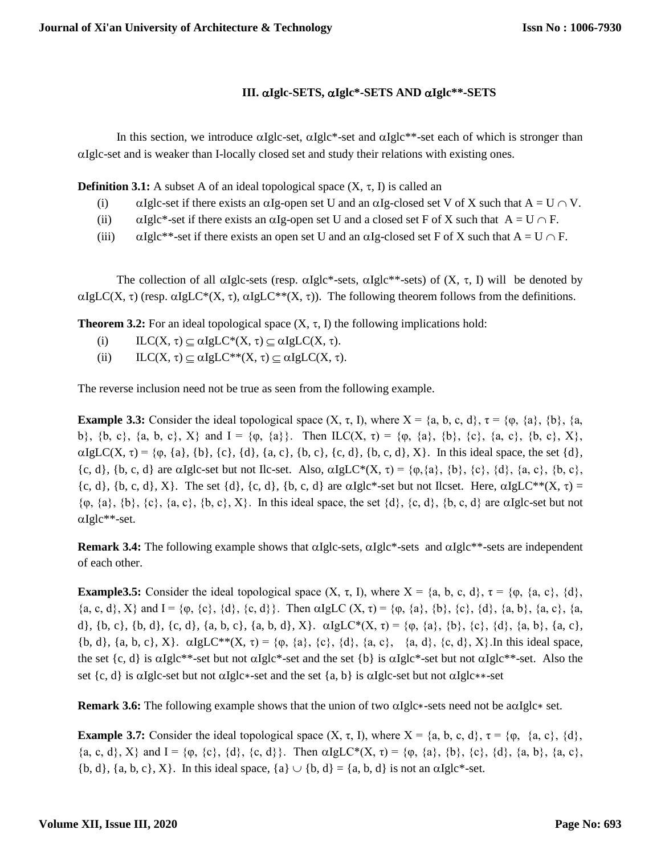# **III. Iglc-SETS, Iglc\*-SETS AND Iglc\*\*-SETS**

In this section, we introduce  $\alpha Iglc-set$ ,  $\alpha Iglc^*$ -set and  $\alpha Iglc^{**}$ -set each of which is stronger than Iglc-set and is weaker than I-locally closed set and study their relations with existing ones.

**Definition 3.1:** A subset A of an ideal topological space  $(X, \tau, I)$  is called an

- (i)  $\alpha$  Iglc-set if there exists an  $\alpha$ Ig-open set U and an  $\alpha$ Ig-closed set V of X such that A = U  $\cap$  V.
- (ii)  $\alpha$  Iglc\*-set if there exists an  $\alpha$ Ig-open set U and a closed set F of X such that  $A = U \cap F$ .
- (iii)  $\alpha$ Iglc\*\*-set if there exists an open set U and an  $\alpha$ Ig-closed set F of X such that A = U  $\cap$  F.

The collection of all  $\alpha$ Iglc-sets (resp.  $\alpha$ Iglc\*-sets,  $\alpha$ Iglc\*\*-sets) of (X,  $\tau$ , I) will be denoted by  $\alpha IgLC(X, \tau)$  (resp.  $\alpha IgLC^*(X, \tau)$ ,  $\alpha IgLC^{**}(X, \tau)$ ). The following theorem follows from the definitions.

**Theorem 3.2:** For an ideal topological space  $(X, \tau, I)$  the following implications hold:

- (i)  $ILC(X, \tau) \subseteq \alpha IgLC^*(X, \tau) \subseteq \alpha IgLC(X, \tau).$
- (ii)  $ILC(X, \tau) \subseteq \alpha IgLC^{**}(X, \tau) \subseteq \alpha IgLC(X, \tau).$

The reverse inclusion need not be true as seen from the following example.

**Example 3.3:** Consider the ideal topological space  $(X, \tau, I)$ , where  $X = \{a, b, c, d\}$ ,  $\tau = \{\varphi, \{a\}, \{b\}, \{a, c, d\} \}$ b},  $\{b, c\}$ ,  $\{a, b, c\}$ ,  $X\}$  and  $I = \{\varphi, \{a\}\}\$ . Then  $ILC(X, \tau) = \{\varphi, \{a\}, \{b\}, \{c\}, \{a, c\}, \{b, c\}, X\}$ ,  $\alpha$ IgLC(X,  $\tau$ ) = { $\varphi$ , {a}, {b}, {c}, {d}, {a, c}, {b, c}, {c, d}, {b, c, d}, X}. In this ideal space, the set {d},  $\{c, d\}$ ,  $\{b, c, d\}$  are  $\alpha$ Iglc-set but not Ilc-set. Also,  $\alpha$ IgLC\* $(X, \tau) = \{\varphi, \{a\}, \{b\}, \{c\}, \{d\}, \{a, c\}, \{b, c\}, \{\varphi\}, \{\varphi\}, \{\varphi\}, \{\varphi\}, \{\varphi\}, \{\varphi\}, \{\varphi\}, \{\varphi\}, \{\varphi\}, \{\varphi\}, \{\varphi\}, \{\varphi\}, \{\varphi\}, \{\varphi\}, \{\varphi\}, \{\varphi\}, \{\varphi\}, \$  ${c, d}$ ,  ${b, c, d}$ ,  ${X}$ . The set  ${d}$ ,  ${c, d}$ ,  ${b, c, d}$  are  $\alpha Iglc^*$ -set but not Ilcset. Here,  $\alpha Iglc^{**}(X, \tau)$  =  $\{\varphi, \{a\}, \{b\}, \{c\}, \{a, c\}, \{b, c\}, X\}$ . In this ideal space, the set  $\{d\}, \{c, d\}, \{b, c, d\}$  are  $\alpha$ Iglc-set but not  $\alpha$ Iglc\*\*-set.

**Remark 3.4:** The following example shows that  $\alpha Iglc-sets$ ,  $\alpha Iglc*-sets$  and  $\alpha Iglc**-sets$  are independent of each other.

**Example3.5:** Consider the ideal topological space  $(X, \tau, I)$ , where  $X = \{a, b, c, d\}$ ,  $\tau = \{\varphi, \{a, c\}, \{d\}, \tau\}$  $\{a, c, d\}, X\}$  and  $I = \{\varphi, \{c\}, \{d\}, \{c, d\}\}\$ . Then  $\alpha IgLC(X, \tau) = \{\varphi, \{a\}, \{b\}, \{c\}, \{d\}, \{a, b\}, \{a, c\}, \{a, d\}\}$ d}, {b, c}, {b, d}, {c, d}, {a, b, c}, {a, b, d}, X}.  $\alpha I g L C^*(X, \tau) = \{ \varphi, \{a\}, \{b\}, \{c\}, \{d\}, \{a, b\}, \{a, c\},$  ${\bf b}, d$ ,  ${\bf a}, {\bf b}, {\bf c}, X$ .  $\alpha IgLC^{**}(X, \tau) = {\bf c}, {\bf a}, {\bf c}, {\bf d}, {\bf c}, {\bf c}, {\bf d}, {\bf c}, {\bf d}, {\bf c}, {\bf d}, {\bf c}, X$ . In this ideal space, the set  $\{c, d\}$  is  $\alpha I g l c^{**}$ -set but not  $\alpha I g l c^{*}$ -set and the set  $\{b\}$  is  $\alpha I g l c^{*}$ -set but not  $\alpha I g l c^{**}$ -set. Also the set {c, d} is  $\alpha$ Iglc-set but not  $\alpha$ Iglc∗-set and the set {a, b} is  $\alpha$ Iglc-set but not  $\alpha$ Iglc∗∗-set

**Remark 3.6:** The following example shows that the union of two  $\alpha$ Iglc∗-sets need not be  $\alpha$ a $\alpha$ Iglc∗ set.

**Example 3.7:** Consider the ideal topological space  $(X, \tau, I)$ , where  $X = \{a, b, c, d\}$ ,  $\tau = \{\varphi, \{a, c\}, \{d\}$ ,  $\{a, c, d\}$ ,  $X\}$  and  $I = \{\varphi, \{c\}, \{d\}, \{c, d\}\}\$ . Then  $\alpha I g L C^*(X, \tau) = \{\varphi, \{a\}, \{b\}, \{c\}, \{d\}, \{a, b\}, \{a, c\},\$  ${b, d}$ ,  ${a, b, c}$ ,  $X$ . In this ideal space,  ${a} \cup {b, d} = {a, b, d}$  is not an  $\alpha Iglc^*-set.$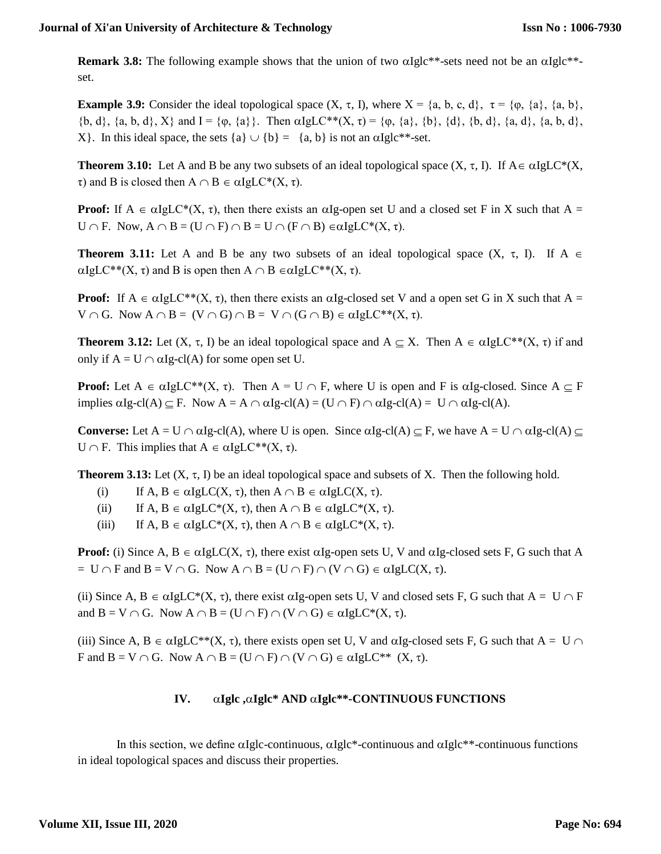**Remark 3.8:** The following example shows that the union of two  $\alpha Iglc^{**}$ -sets need not be an  $\alpha Iglc^{**}$ set.

**Example 3.9:** Consider the ideal topological space  $(X, \tau, I)$ , where  $X = \{a, b, c, d\}, \tau = \{\varphi, \{a\}, \{a, b\}, \tau = \{\varphi, \{a\}, \{a, b\}\},\tau = \{\varphi, \{a, c\}, \{\varphi, \{a, d\}\},\tau = \{\varphi, \{\varphi, \{a, c\}, \{\varphi, \{a, c\}, \{\varphi, \{a, c\}, \{\varphi, \{a, c\}, \{\varphi, \{\varphi, \{\var$  $\{b, d\}, \{a, b, d\}, X\}$  and  $I = \{\phi, \{a\}\}\$ . Then  $\alpha I g L C^{**}(X, \tau) = \{\phi, \{a\}, \{b\}, \{d\}, \{b, d\}, \{a, d\}, \{a, b, d\},$ X}. In this ideal space, the sets  ${a} \cup {b} = {a, b}$  is not an  $\alpha I g l c^{**}$ -set.

**Theorem 3.10:** Let A and B be any two subsets of an ideal topological space  $(X, \tau, I)$ . If  $A \in \alpha IgLC^*(X, I)$  $τ$ ) and B is closed then  $A ∩ B ∈ αIgLC*(X, τ)$ .

**Proof:** If  $A \in \alpha IgL\mathbb{C}^*(X, \tau)$ , then there exists an  $\alpha Ig$ -open set U and a closed set F in X such that  $A =$ U  $\cap$  F. Now,  $A \cap B = (U \cap F) \cap B = U \cap (F \cap B) \in \alpha IgLC^*(X, \tau).$ 

**Theorem 3.11:** Let A and B be any two subsets of an ideal topological space  $(X, \tau, I)$ . If A  $\in$  $\alpha IgLC^{**}(X, \tau)$  and B is open then  $A \cap B \in \alpha IgLC^{**}(X, \tau)$ .

**Proof:** If  $A \in \alpha IgLC^{**}(X, \tau)$ , then there exists an  $\alpha Ig$ -closed set V and a open set G in X such that  $A =$  $V \cap G$ . Now  $A \cap B = (V \cap G) \cap B = V \cap (G \cap B) \in \alpha IgLC^{**}(X, \tau)$ .

**Theorem 3.12:** Let  $(X, \tau, I)$  be an ideal topological space and  $A \subseteq X$ . Then  $A \in \alpha IgLC^{**}(X, \tau)$  if and only if  $A = U \cap \alpha Ig-cl(A)$  for some open set U.

**Proof:** Let  $A \in \alpha IgLC^{**}(X, \tau)$ . Then  $A = U \cap F$ , where U is open and F is  $\alpha Ig$ -closed. Since  $A \subseteq F$ implies  $\text{alg-cl}(A) \subseteq F$ . Now  $A = A \cap \alpha Ig-cl(A) = (U \cap F) \cap \alpha Ig-cl(A) = U \cap \alpha Ig-cl(A)$ .

**Converse:** Let  $A = U \cap \alpha Ig-cl(A)$ , where U is open. Since  $\alpha Ig-cl(A) \subseteq F$ , we have  $A = U \cap \alpha Ig-cl(A)$ U  $\cap$  F. This implies that  $A \in \alpha IgLC^{**}(X, \tau)$ .

**Theorem 3.13:** Let  $(X, \tau, I)$  be an ideal topological space and subsets of X. Then the following hold.

- (i) If  $A, B \in \alpha IgLC(X, \tau)$ , then  $A \cap B \in \alpha IgLC(X, \tau)$ .
- (ii) If  $A, B \in \alpha IgLC^*(X, \tau)$ , then  $A \cap B \in \alpha IgLC^*(X, \tau)$ .
- (iii) If  $A, B \in \alpha IgLC^*(X, \tau)$ , then  $A \cap B \in \alpha IgLC^*(X, \tau)$ .

**Proof:** (i) Since A,  $B \in \alpha IgLC(X, \tau)$ , there exist  $\alpha Ig$ -open sets U, V and  $\alpha Ig$ -closed sets F, G such that A  $= U \cap F$  and  $B = V \cap G$ . Now  $A \cap B = (U \cap F) \cap (V \cap G) \in \alpha IgLC(X, \tau)$ .

(ii) Since A,  $B \in \alpha IgLC^*(X, \tau)$ , there exist  $\alpha Ig$ -open sets U, V and closed sets F, G such that  $A = U \cap F$ and  $B = V \cap G$ . Now  $A \cap B = (U \cap F) \cap (V \cap G) \in \alpha IgLC^*(X, \tau)$ .

(iii) Since A,  $B \in \alpha IgLC^{**}(X, \tau)$ , there exists open set U, V and  $\alpha Ig$ -closed sets F, G such that  $A = U \cap$ F and  $B = V \cap G$ . Now  $A \cap B = (U \cap F) \cap (V \cap G) \in \alpha IgLC^{**}$   $(X, \tau)$ .

## **IV. Iglc ,Iglc\* AND Iglc\*\*-CONTINUOUS FUNCTIONS**

In this section, we define  $\alpha$ Iglc-continuous,  $\alpha$ Iglc\*-continuous and  $\alpha$ Iglc\*\*-continuous functions in ideal topological spaces and discuss their properties.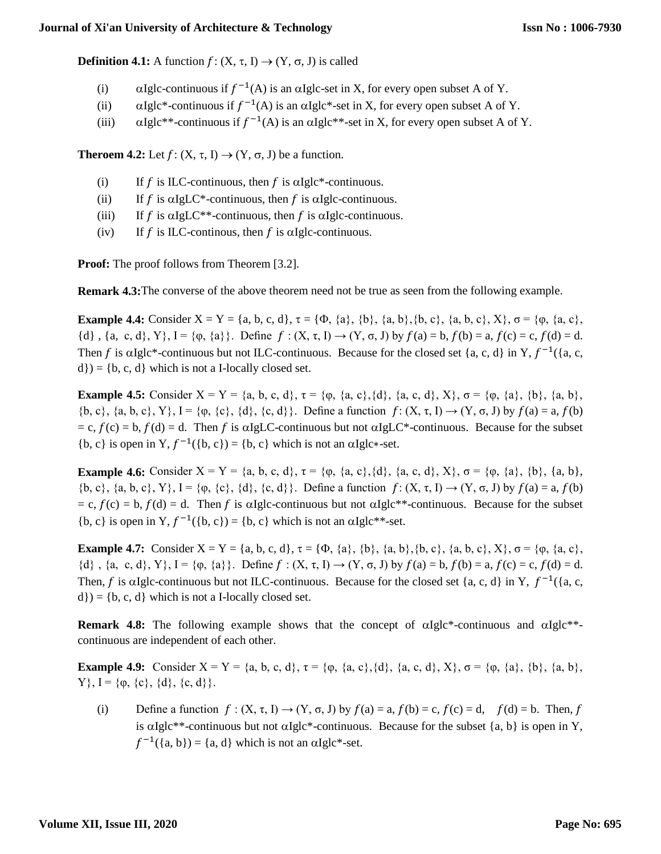**Definition 4.1:** A function  $f: (X, \tau, I) \rightarrow (Y, \sigma, J)$  is called

- (i)  $\alpha$  Iglc-continuous if  $f^{-1}(A)$  is an  $\alpha$ Iglc-set in X, for every open subset A of Y.
- (ii)  $\alpha$ Iglc\*-continuous if  $f^{-1}(A)$  is an  $\alpha$ Iglc\*-set in X, for every open subset A of Y.
- (iii)  $\alpha$ Iglc\*\*-continuous if  $f^{-1}(A)$  is an  $\alpha$ Iglc\*\*-set in X, for every open subset A of Y.

**Theroem 4.2:** Let  $f: (X, \tau, I) \rightarrow (Y, \sigma, J)$  be a function.

- (i) If  $f$  is ILC-continuous, then  $f$  is  $\alpha$ Iglc\*-continuous.
- (ii) If  $f$  is  $\alpha I g L C^*$ -continuous, then  $f$  is  $\alpha I g L$ -continuous.
- (iii) If f is  $\alpha I g LC^{**}$ -continuous, then f is  $\alpha I g lc$ -continuous.
- (iv) If  $f$  is ILC-continuous, then  $f$  is  $\alpha$ Iglc-continuous.

**Proof:** The proof follows from Theorem [3.2].

**Remark 4.3:** The converse of the above theorem need not be true as seen from the following example.

**Example 4.4:** Consider  $X = Y = \{a, b, c, d\}$ ,  $\tau = \{\Phi, \{a\}, \{b\}, \{a, b\}, \{b, c\}, \{a, b, c\}, X\}$ ,  $\sigma = \{\phi, \{a, c\}, X\}$ {d}, {a, c, d}, Y}, I = { $\varphi$ , {a}}. Define  $f : (X, \tau, I) \to (Y, \sigma, J)$  by  $f(a) = b$ ,  $f(b) = a$ ,  $f(c) = c$ ,  $f(d) = d$ . Then f is  $\alpha$ Iglc\*-continuous but not ILC-continuous. Because for the closed set {a, c, d} in Y,  $f^{-1}$ ({a, c,  $d$ }) = {b, c, d} which is not a I-locally closed set.

**Example 4.5:** Consider  $X = Y = \{a, b, c, d\}$ ,  $\tau = \{\varphi, \{a, c\}, \{d\}, \{a, c, d\}, X\}$ ,  $\sigma = \{\varphi, \{a\}, \{b\}, \{a, b\}, X\}$  $\{b, c\}$ ,  $\{a, b, c\}$ ,  $Y\}$ ,  $I = \{\varphi, \{c\}, \{d\}, \{c, d\}\}\$ . Define a function  $f: (X, \tau, I) \rightarrow (Y, \sigma, J)$  by  $f(a) = a$ ,  $f(b)$  $= c, f(c) = b, f(d) = d$ . Then f is  $\alpha I g LC$ -continuous but not  $\alpha I g LC^*$ -continuous. Because for the subset {b, c} is open in Y,  $f^{-1}(\{b, c\}) = \{b, c\}$  which is not an  $\alpha I g l c$ \*-set.

**Example 4.6:** Consider  $X = Y = \{a, b, c, d\}$ ,  $\tau = \{\phi, \{a, c\}, \{d\}, \{a, c, d\}, X\}$ ,  $\sigma = \{\phi, \{a\}, \{b\}, \{a, b\}, \{a, b\}, \{a, d\}, X\}$  ${b, c}, {a, b, c}, Y$ ,  $I = {φ, {c}, {d}, {c, d}}.$  Define a function  $f: (X, τ, I) \rightarrow (Y, σ, J)$  by  $f(a) = a, f(b)$  $= c, f(c) = b, f(d) = d$ . Then f is algle-continuous but not algle\*\*-continuous. Because for the subset {b, c} is open in Y,  $f^{-1}(\{b, c\}) = \{b, c\}$  which is not an  $\alpha I g l c^{**}$ -set.

**Example 4.7:** Consider  $X = Y = \{a, b, c, d\}, \tau = \{\Phi, \{a\}, \{b\}, \{a, b\}, \{b, c\}, \{a, b, c\}, X\}, \sigma = \{\phi, \{a, c\}, X\}$  $\{d\}$ ,  $\{a, c, d\}$ ,  $Y\}$ ,  $I = \{\varphi, \{a\}\}\$ . Define  $f : (X, \tau, I) \to (Y, \sigma, J)$  by  $f(a) = b$ ,  $f(b) = a$ ,  $f(c) = c$ ,  $f(d) = d$ . Then, f is algle-continuous but not ILC-continuous. Because for the closed set  $\{a, c, d\}$  in Y,  $f^{-1}(\{a, c, d\})$  $d$ }) = {b, c, d} which is not a I-locally closed set.

**Remark 4.8:** The following example shows that the concept of  $\alpha Iglc^*$ -continuous and  $\alpha Iglc^{**-}$ continuous are independent of each other.

**Example 4.9:** Consider  $X = Y = \{a, b, c, d\}$ ,  $\tau = \{\varphi, \{a, c\}, \{d\}, \{a, c, d\}, X\}$ ,  $\sigma = \{\varphi, \{a\}, \{b\}, \{a, b\}$ ,  $Y$ ,  $I = {\varphi, {\{c\}, \{d\}, \{c, d\}}}.$ 

(i) Define a function  $f : (X, \tau, I) \to (Y, \sigma, J)$  by  $f(a) = a, f(b) = c, f(c) = d, f(d) = b$ . Then, f is  $\alpha Iglc^{**}$ -continuous but not  $\alpha Iglc^{*}$ -continuous. Because for the subset {a, b} is open in Y,  $f^{-1}(\{a, b\}) = \{a, d\}$  which is not an  $\alpha I g l c^*$ -set.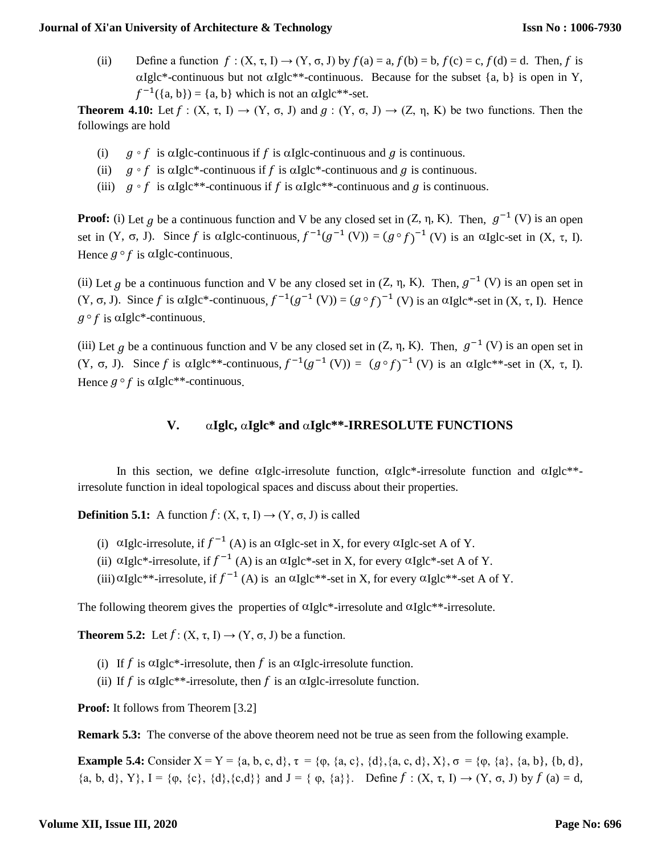#### **Journal of Xi'an University of Architecture & Technology**

(ii) Define a function  $f : (X, \tau, I) \rightarrow (Y, \sigma, J)$  by  $f(a) = a, f(b) = b, f(c) = c, f(d) = d$ . Then, f is  $\alpha$ Iglc\*-continuous but not  $\alpha$ Iglc\*\*-continuous. Because for the subset {a, b} is open in Y,  $f^{-1}(\{a, b\}) = \{a, b\}$  which is not an  $\alpha I g l c^{**}$ -set.

**Theorem 4.10:** Let  $f : (X, \tau, I) \to (Y, \sigma, J)$  and  $g : (Y, \sigma, J) \to (Z, \eta, K)$  be two functions. Then the followings are hold

- (i)  $g \circ f$  is  $\alpha$ Iglc-continuous if f is  $\alpha$ Iglc-continuous and g is continuous.
- (ii)  $q \circ f$  is  $\alpha$ Iglc\*-continuous if f is  $\alpha$ Iglc\*-continuous and g is continuous.
- (iii)  $q \circ f$  is  $\alpha$ Iglc\*\*-continuous if f is  $\alpha$ Iglc\*\*-continuous and q is continuous.

**Proof:** (i) Let g be a continuous function and V be any closed set in  $(Z, \eta, K)$ . Then,  $g^{-1}(V)$  is an open set in  $(Y, \sigma, J)$ . Since f is algle-continuous,  $f^{-1}(g^{-1}(V)) = (g \circ f)^{-1}(V)$  is an  $\alpha$ Igle-set in  $(X, \tau, I)$ . Hence  $g \circ f$  is  $\alpha$ Iglc-continuous.

(ii) Let g be a continuous function and V be any closed set in  $(Z, \eta, K)$ . Then,  $g^{-1}(V)$  is an open set in  $(Y, \sigma, J)$ . Since f is  $\alpha Iglc^*$ -continuous,  $f^{-1}(g^{-1}(V)) = (g \circ f)^{-1}(V)$  is an  $\alpha Iglc^*$ -set in  $(X, \tau, I)$ . Hence  $g \circ f$  is  $\alpha$ Iglc\*-continuous.

(iii) Let g be a continuous function and V be any closed set in  $(Z, \eta, K)$ . Then,  $g^{-1}(V)$  is an open set in (Y, σ, J). Since f is αIglc\*\*-continuous,  $f^{-1}(g^{-1}(V)) = (g \circ f)^{-1}(V)$  is an αIglc\*\*-set in (X, τ, I). Hence  $g \circ f$  is  $\alpha$ Iglc\*\*-continuous.

## **V. Iglc, Iglc\* and Iglc\*\*-IRRESOLUTE FUNCTIONS**

In this section, we define  $\alpha$ Iglc-irresolute function,  $\alpha$ Iglc<sup>\*</sup>-irresolute function and  $\alpha$ Iglc<sup>\*\*</sup>irresolute function in ideal topological spaces and discuss about their properties.

**Definition 5.1:** A function  $f: (X, \tau, I) \rightarrow (Y, \sigma, J)$  is called

- (i)  $\alpha$ Iglc-irresolute, if  $f^{-1}(A)$  is an  $\alpha$ Iglc-set in X, for every  $\alpha$ Iglc-set A of Y.
- (ii)  $\alpha$ Iglc\*-irresolute, if  $f^{-1}(A)$  is an  $\alpha$ Iglc\*-set in X, for every  $\alpha$ Iglc\*-set A of Y.
- (iii)  $\alpha$ Iglc\*\*-irresolute, if  $f^{-1}(A)$  is an  $\alpha$ Iglc\*\*-set in X, for every  $\alpha$ Iglc\*\*-set A of Y.

The following theorem gives the properties of  $\alpha$ Iglc\*-irresolute and  $\alpha$ Iglc\*\*-irresolute.

**Theorem 5.2:** Let  $f: (X, \tau, I) \rightarrow (Y, \sigma, J)$  be a function.

- (i) If f is  $\alpha$ Iglc\*-irresolute, then f is an  $\alpha$ Iglc-irresolute function.
- (ii) If f is  $\alpha$ Iglc\*\*-irresolute, then f is an  $\alpha$ Iglc-irresolute function.

**Proof:** It follows from Theorem [3.2]

**Remark 5.3:** The converse of the above theorem need not be true as seen from the following example.

**Example 5.4:** Consider  $X = Y = \{a, b, c, d\}$ ,  $\tau = \{\varphi, \{a, c\}, \{d\}, \{a, c, d\}, X\}$ ,  $\sigma = \{\varphi, \{a\}, \{a, b\}, \{b, d\}, X\}$  $\{a, b, d\}, Y\}, I = \{\varphi, \{c\}, \{d\}, \{c,d\}\}\$  and  $J = \{\varphi, \{a\}\}\$ . Define  $f : (X, \tau, I) \rightarrow (Y, \sigma, J)$  by  $f(a) = d$ ,